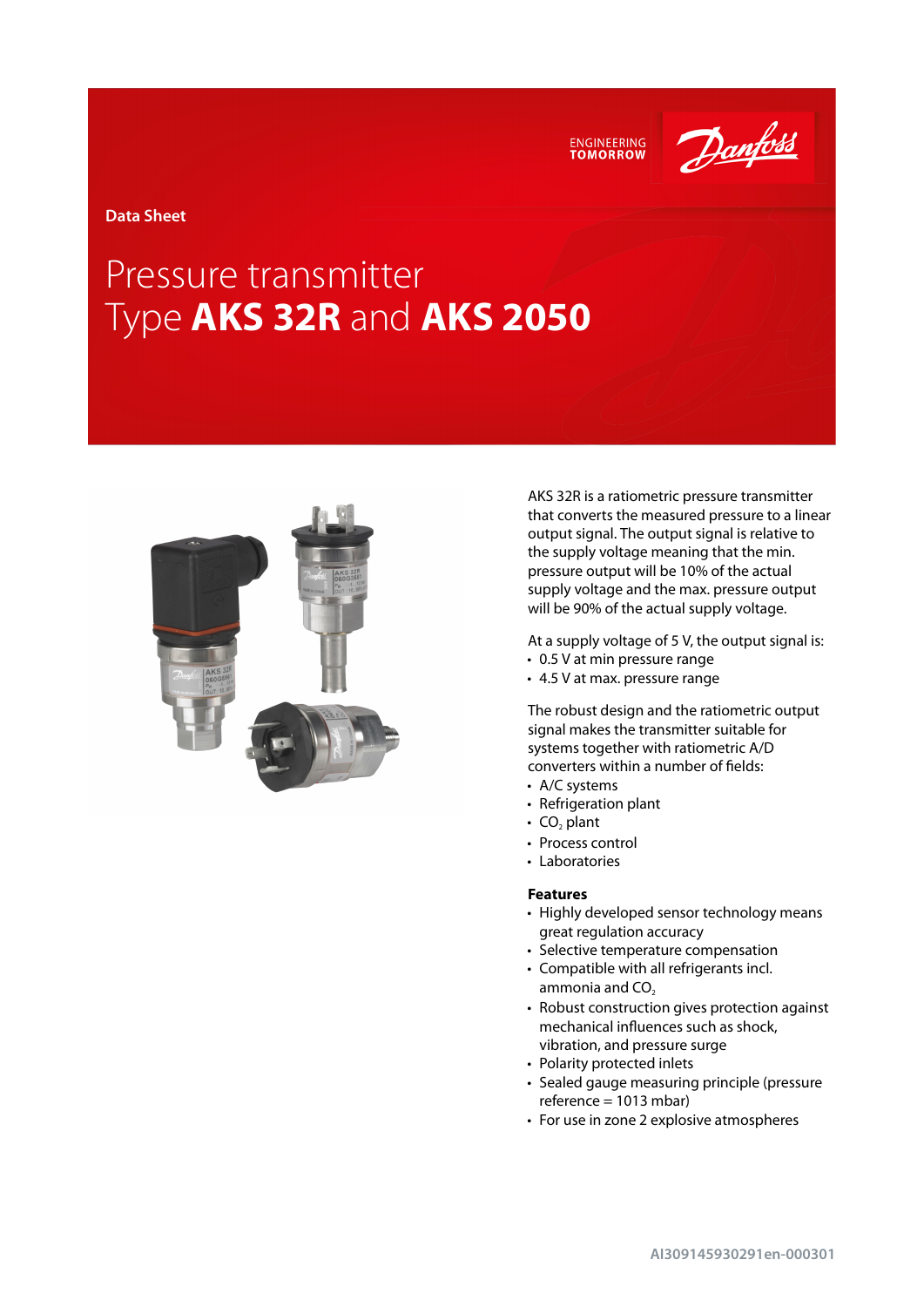ENGINEERING<br>TOMORROW

Danfoss

**Data Sheet**

# Pressure transmitter Type **AKS 32R** and **AKS 2050**



AKS 32R is a ratiometric pressure transmitter that converts the measured pressure to a linear output signal. The output signal is relative to the supply voltage meaning that the min. pressure output will be 10% of the actual supply voltage and the max. pressure output will be 90% of the actual supply voltage.

At a supply voltage of 5 V, the output signal is:

- 0.5 V at min pressure range
- 4.5 V at max. pressure range

The robust design and the ratiometric output signal makes the transmitter suitable for systems together with ratiometric A/D converters within a number of fields:

- A/C systems
- Refrigeration plant
- $CO<sub>2</sub>$  plant
- Process control
- Laboratories

## **Features**

- Highly developed sensor technology means great regulation accuracy
- Selective temperature compensation
- Compatible with all refrigerants incl. ammonia and  $CO<sub>2</sub>$
- Robust construction gives protection against mechanical influences such as shock, vibration, and pressure surge
- Polarity protected inlets
- Sealed gauge measuring principle (pressure reference = 1013 mbar)
- For use in zone 2 explosive atmospheres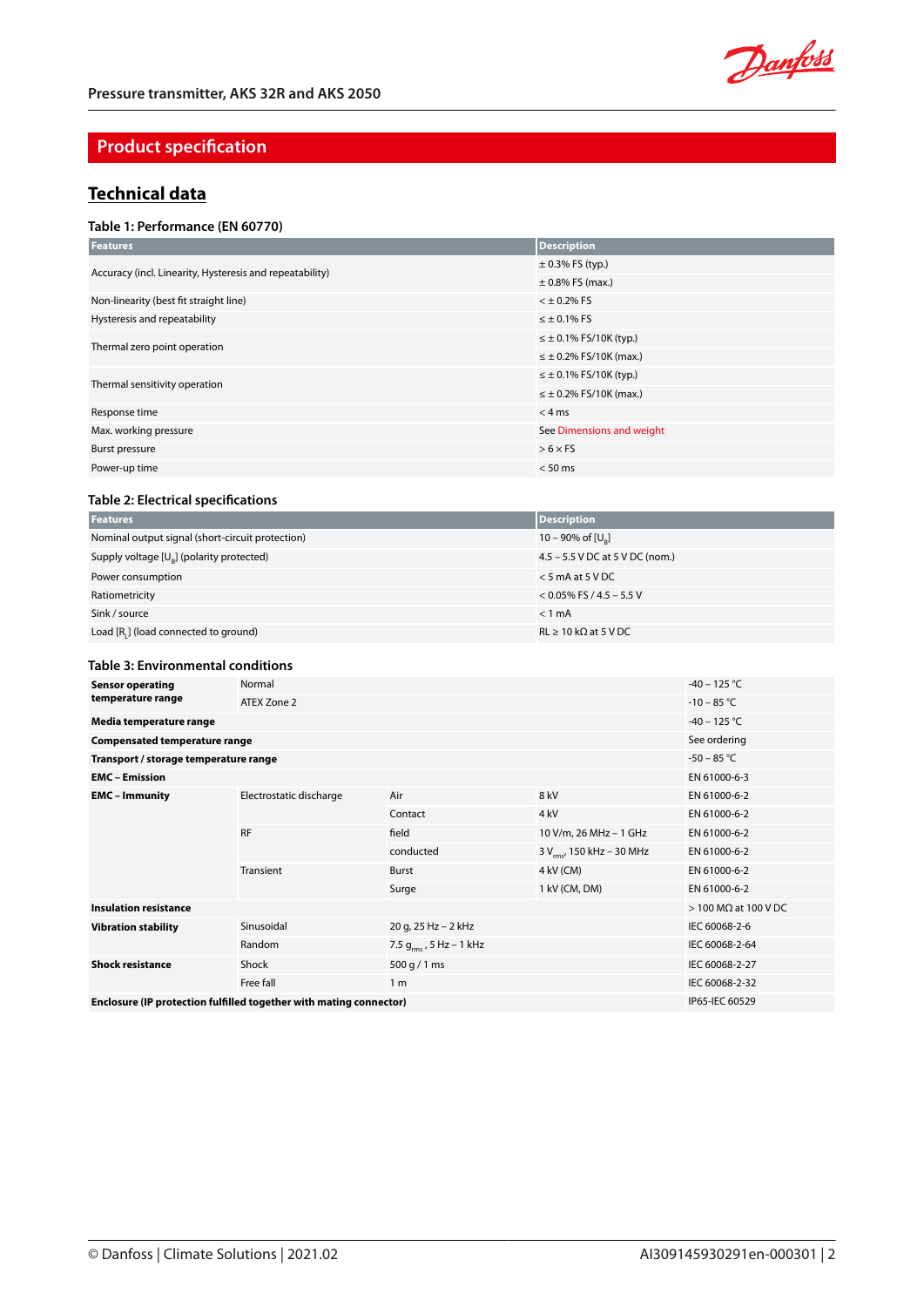

# **Product specification**

# **Technical data**

## **Table 1: Performance (EN 60770)**

| <b>Features</b>                                          | Description                    |
|----------------------------------------------------------|--------------------------------|
| Accuracy (incl. Linearity, Hysteresis and repeatability) | $\pm$ 0.3% FS (typ.)           |
|                                                          | $\pm$ 0.8% FS (max.)           |
| Non-linearity (best fit straight line)                   | $<$ $\pm$ 0.2% FS              |
| Hysteresis and repeatability                             | $\leq \pm 0.1\%$ FS            |
| Thermal zero point operation                             | $\leq \pm 0.1\%$ FS/10K (typ.) |
|                                                          | $\leq \pm 0.2\%$ FS/10K (max.) |
| Thermal sensitivity operation                            | $\leq \pm 0.1\%$ FS/10K (typ.) |
|                                                          | $\leq \pm 0.2\%$ FS/10K (max.) |
| Response time                                            | $<$ 4 ms                       |
| Max. working pressure                                    | See Dimensions and weight      |
| Burst pressure                                           | $> 6 \times F5$                |
| Power-up time                                            | $< 50$ ms                      |

## **Table 2: Electrical specifications**

| <b>Features</b>                                  | <b>Description</b>              |
|--------------------------------------------------|---------------------------------|
| Nominal output signal (short-circuit protection) | 10 – 90% of $[U_{\circ}]$       |
| Supply voltage $[U_{R}]$ (polarity protected)    | 4.5 – 5.5 V DC at 5 V DC (nom.) |
| Power consumption                                | $<$ 5 mA at 5 V DC              |
| Ratiometricity                                   | $<$ 0.05% FS / 4.5 – 5.5 V      |
| Sink / source                                    | $< 1$ mA                        |
| Load [R,] (load connected to ground)             | $RL \ge 10 k\Omega$ at 5 V DC   |

#### **Table 3: Environmental conditions**

| <b>Sensor operating</b>                                            | Normal                  | $-40 - 125$ °C               |                                       |                                |
|--------------------------------------------------------------------|-------------------------|------------------------------|---------------------------------------|--------------------------------|
| temperature range                                                  | ATEX Zone 2             | $-10 - 85 °C$                |                                       |                                |
| Media temperature range                                            | $-40 - 125$ °C          |                              |                                       |                                |
| <b>Compensated temperature range</b>                               |                         |                              |                                       | See ordering                   |
| Transport / storage temperature range                              |                         |                              |                                       | $-50 - 85 °C$                  |
| <b>EMC</b> – Emission                                              |                         |                              |                                       | EN 61000-6-3                   |
| <b>EMC</b> – Immunity                                              | Electrostatic discharge | Air                          | 8 kV                                  | EN 61000-6-2                   |
|                                                                    |                         | Contact                      | 4 <sub>kV</sub>                       | EN 61000-6-2                   |
|                                                                    | <b>RF</b>               | field                        | 10 V/m, 26 MHz - 1 GHz                | EN 61000-6-2                   |
|                                                                    |                         | conducted                    | 3 V <sub>rms</sub> , 150 kHz - 30 MHz | EN 61000-6-2                   |
|                                                                    | Transient               | Burst                        | 4 kV (CM)                             | EN 61000-6-2                   |
|                                                                    |                         | Surge                        | 1 kV (CM, DM)                         | EN 61000-6-2                   |
| <b>Insulation resistance</b>                                       |                         |                              |                                       | $>$ 100 M $\Omega$ at 100 V DC |
| <b>Vibration stability</b>                                         | Sinusoidal              | 20 g, 25 Hz - 2 kHz          | IEC 60068-2-6                         |                                |
|                                                                    | Random                  | 7.5 $g_{rms}$ , 5 Hz – 1 kHz | IEC 60068-2-64                        |                                |
| <b>Shock resistance</b>                                            | Shock                   | 500 g / 1 ms                 |                                       | IEC 60068-2-27                 |
|                                                                    | Free fall               | 1 <sub>m</sub>               | IEC 60068-2-32                        |                                |
| Enclosure (IP protection fulfilled together with mating connector) | IP65-IEC 60529          |                              |                                       |                                |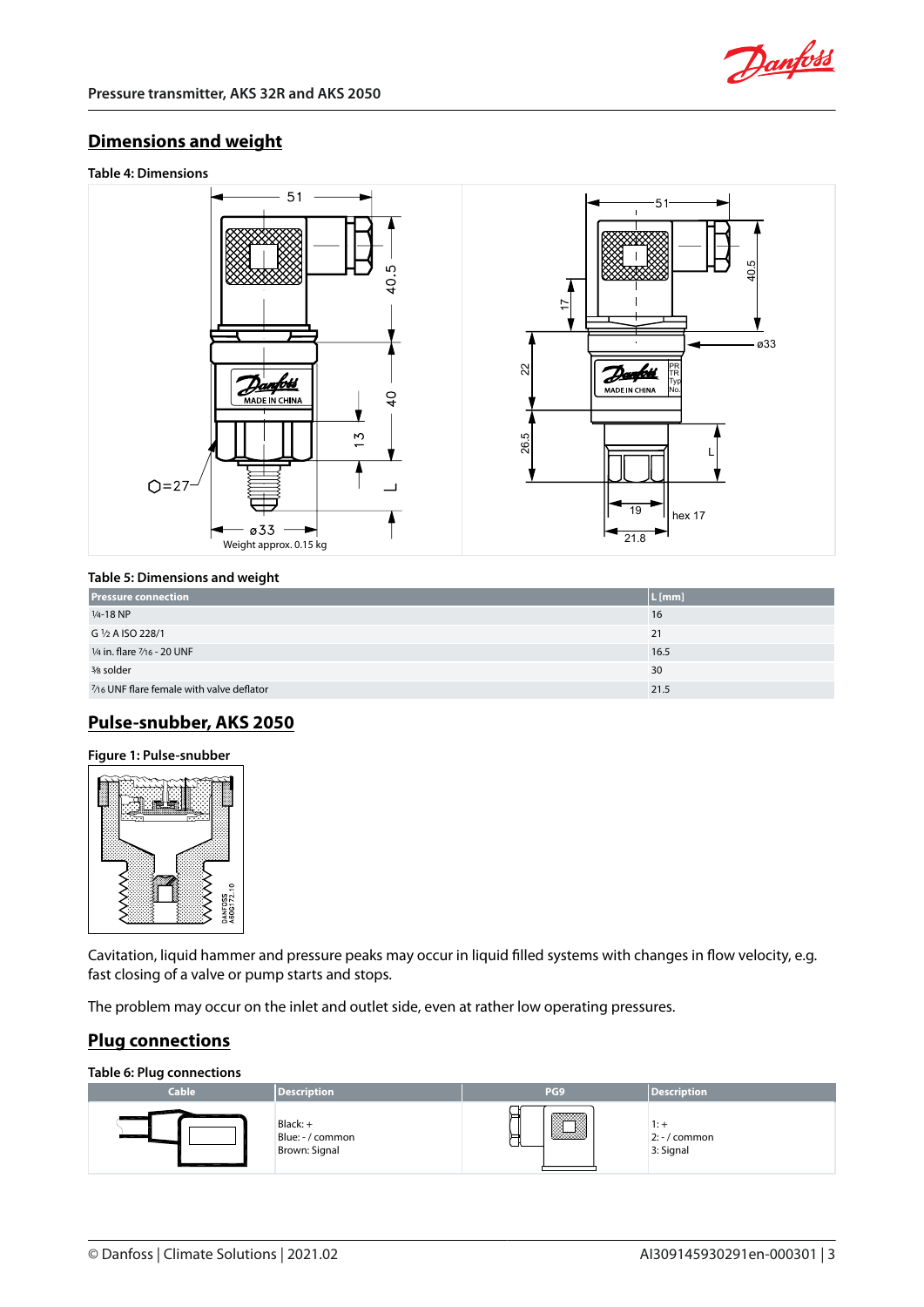

# <span id="page-2-0"></span>**Dimensions and weight**





## **Table 5: Dimensions and weight**

| <b>Pressure connection</b>                | $L$ [mm] |
|-------------------------------------------|----------|
| $1/4 - 18$ NP                             | 16       |
| G 1/2 A ISO 228/1                         | 21       |
| 1/4 in. flare 7/16 - 20 UNF               | 16.5     |
| 3/8 solder                                | 30       |
| 7/16 UNF flare female with valve deflator | 21.5     |

# **Pulse-snubber, AKS 2050**

## **Figure 1: Pulse-snubber**



Cavitation, liquid hammer and pressure peaks may occur in liquid filled systems with changes in flow velocity, e.g. fast closing of a valve or pump starts and stops.

The problem may occur on the inlet and outlet side, even at rather low operating pressures.

# **Plug connections**

**Table 6: Plug connections**

| -<br><b>Cable</b> | <b>Description</b>                              | PG <sub>9</sub> | <b>Description</b>                   |
|-------------------|-------------------------------------------------|-----------------|--------------------------------------|
| l                 | $Black: +$<br>Blue: - / common<br>Brown: Signal | ▓▓▓             | . . 7<br>$2: -/$ common<br>3: Signal |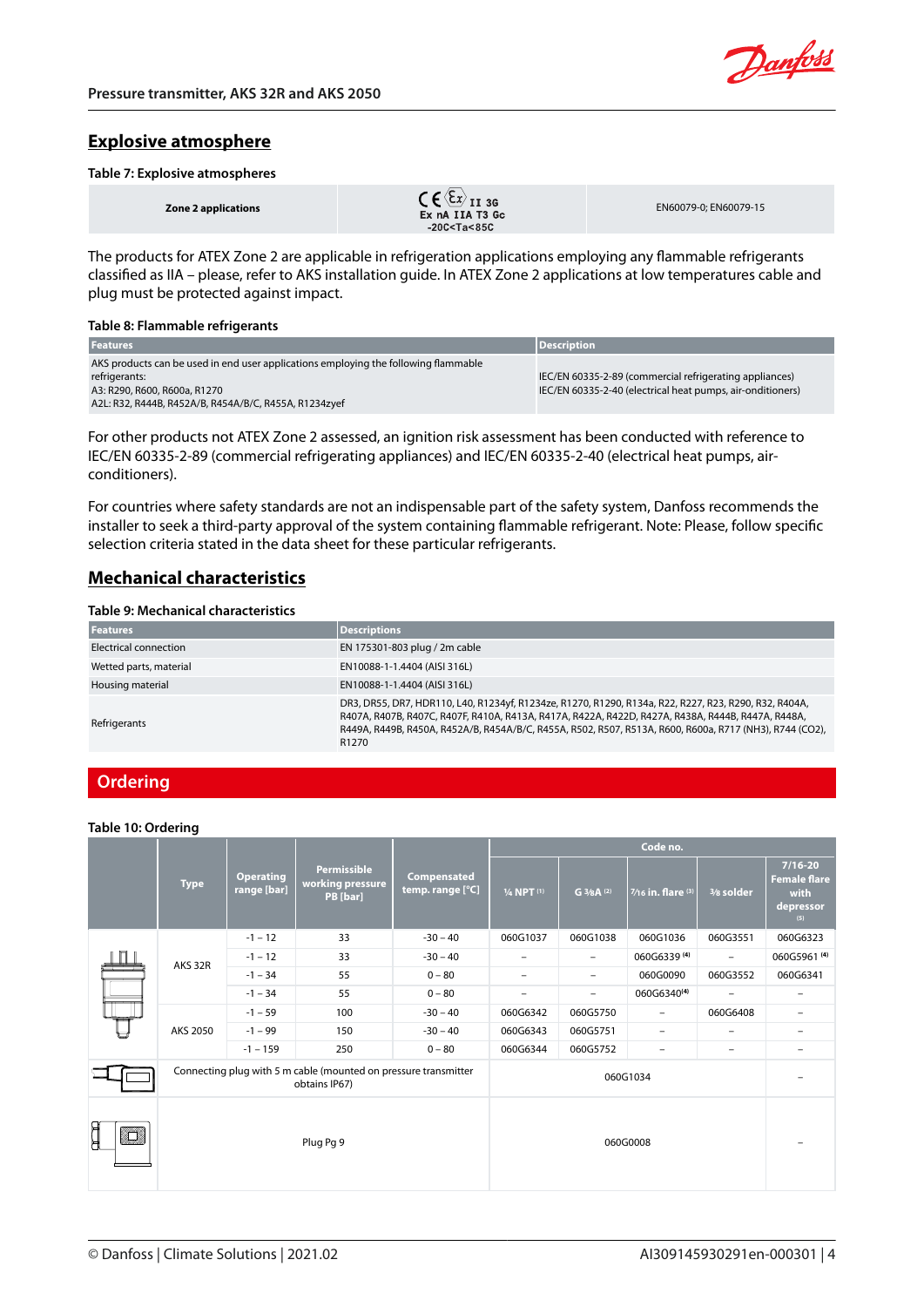

## **Explosive atmosphere**

### **Table 7: Explosive atmospheres**

The products for ATEX Zone 2 are applicable in refrigeration applications employing any flammable refrigerants classified as IIA – please, refer to AKS installation guide. In ATEX Zone 2 applications at low temperatures cable and plug must be protected against impact.

#### **Table 8: Flammable refrigerants**

| <b>Features</b>                                                                     | <b>Description</b>                                         |
|-------------------------------------------------------------------------------------|------------------------------------------------------------|
| AKS products can be used in end user applications employing the following flammable |                                                            |
| refrigerants:                                                                       | IEC/EN 60335-2-89 (commercial refrigerating appliances)    |
| A3: R290, R600, R600a, R1270                                                        | IEC/EN 60335-2-40 (electrical heat pumps, air-onditioners) |
| A2L: R32, R444B, R452A/B, R454A/B/C, R455A, R1234zyef                               |                                                            |

For other products not ATEX Zone 2 assessed, an ignition risk assessment has been conducted with reference to IEC/EN 60335-2-89 (commercial refrigerating appliances) and IEC/EN 60335-2-40 (electrical heat pumps, airconditioners).

For countries where safety standards are not an indispensable part of the safety system, Danfoss recommends the installer to seek a third-party approval of the system containing flammable refrigerant. Note: Please, follow specific selection criteria stated in the data sheet for these particular refrigerants.

## **Mechanical characteristics**

## **Table 9: Mechanical characteristics**

| <b>Features</b>        | <b>Descriptions</b>                                                                                                                                                                                                                                                                                                                        |
|------------------------|--------------------------------------------------------------------------------------------------------------------------------------------------------------------------------------------------------------------------------------------------------------------------------------------------------------------------------------------|
| Electrical connection  | EN 175301-803 plug / 2m cable                                                                                                                                                                                                                                                                                                              |
| Wetted parts, material | EN10088-1-1.4404 (AISI 316L)                                                                                                                                                                                                                                                                                                               |
| Housing material       | EN10088-1-1.4404 (AISI 316L)                                                                                                                                                                                                                                                                                                               |
| Refrigerants           | DR3, DR55, DR7, HDR110, L40, R1234yf, R1234ze, R1270, R1290, R134a, R22, R227, R23, R290, R32, R404A,<br>R407A, R407B, R407C, R407F, R410A, R413A, R417A, R422A, R422D, R427A, R438A, R444B, R447A, R448A,<br>R449A, R449B, R450A, R452A/B, R454A/B/C, R455A, R502, R507, R513A, R600, R600a, R717 (NH3), R744 (CO2),<br>R <sub>1270</sub> |

## **Ordering**

#### **Table 10: Ordering**

|       | <b>Type</b>                                                                      | <b>Operating</b><br>range [bar] | <b>Permissible</b><br>working pressure<br>PB [bar] | Compensated<br>temp. range [°C] | Code no.                 |                          |                           |                          |                                                                |
|-------|----------------------------------------------------------------------------------|---------------------------------|----------------------------------------------------|---------------------------------|--------------------------|--------------------------|---------------------------|--------------------------|----------------------------------------------------------------|
|       |                                                                                  |                                 |                                                    |                                 | 1/4 NPT <sup>(1)</sup>   | G $3/8$ A <sup>(2)</sup> | $7/16$ in. flare $^{(3)}$ | 3/8 solder               | $7/16 - 20$<br><b>Female flare</b><br>with<br>depressor<br>(5) |
|       |                                                                                  | $-1 - 12$                       | 33                                                 | $-30 - 40$                      | 060G1037                 | 060G1038                 | 060G1036                  | 060G3551                 | 060G6323                                                       |
| П I I | AKS 32R                                                                          | $-1 - 12$                       | 33                                                 | $-30 - 40$                      | $\overline{\phantom{0}}$ | $\overline{\phantom{a}}$ | 060G6339 (4)              | $\overline{\phantom{a}}$ | 060G5961 <sup>(4)</sup>                                        |
|       |                                                                                  | $-1 - 34$                       | 55                                                 | $0 - 80$                        | $\overline{\phantom{0}}$ | $\overline{\phantom{a}}$ | 060G0090                  | 060G3552                 | 060G6341                                                       |
|       |                                                                                  | $-1 - 34$                       | 55                                                 | $0 - 80$                        | $\qquad \qquad -$        | $\overline{\phantom{a}}$ | 060G6340 <sup>(4)</sup>   | $\overline{\phantom{a}}$ | Ξ.                                                             |
|       | AKS 2050                                                                         | $-1 - 59$                       | 100                                                | $-30 - 40$                      | 060G6342                 | 060G5750                 | $\overline{\phantom{0}}$  | 060G6408                 | Ξ.                                                             |
|       |                                                                                  | $-1 - 99$                       | 150                                                | $-30 - 40$                      | 060G6343                 | 060G5751                 | Ξ.                        | $\overline{\phantom{0}}$ | $\overline{\phantom{0}}$                                       |
|       |                                                                                  | $-1 - 159$                      | 250                                                | $0 - 80$                        | 060G6344                 | 060G5752                 | -                         | $\overline{\phantom{0}}$ | -                                                              |
|       | Connecting plug with 5 m cable (mounted on pressure transmitter<br>obtains IP67) |                                 |                                                    | 060G1034                        |                          |                          |                           |                          |                                                                |
| Ê     | Plug Pg 9                                                                        |                                 |                                                    | 060G0008                        |                          |                          |                           |                          |                                                                |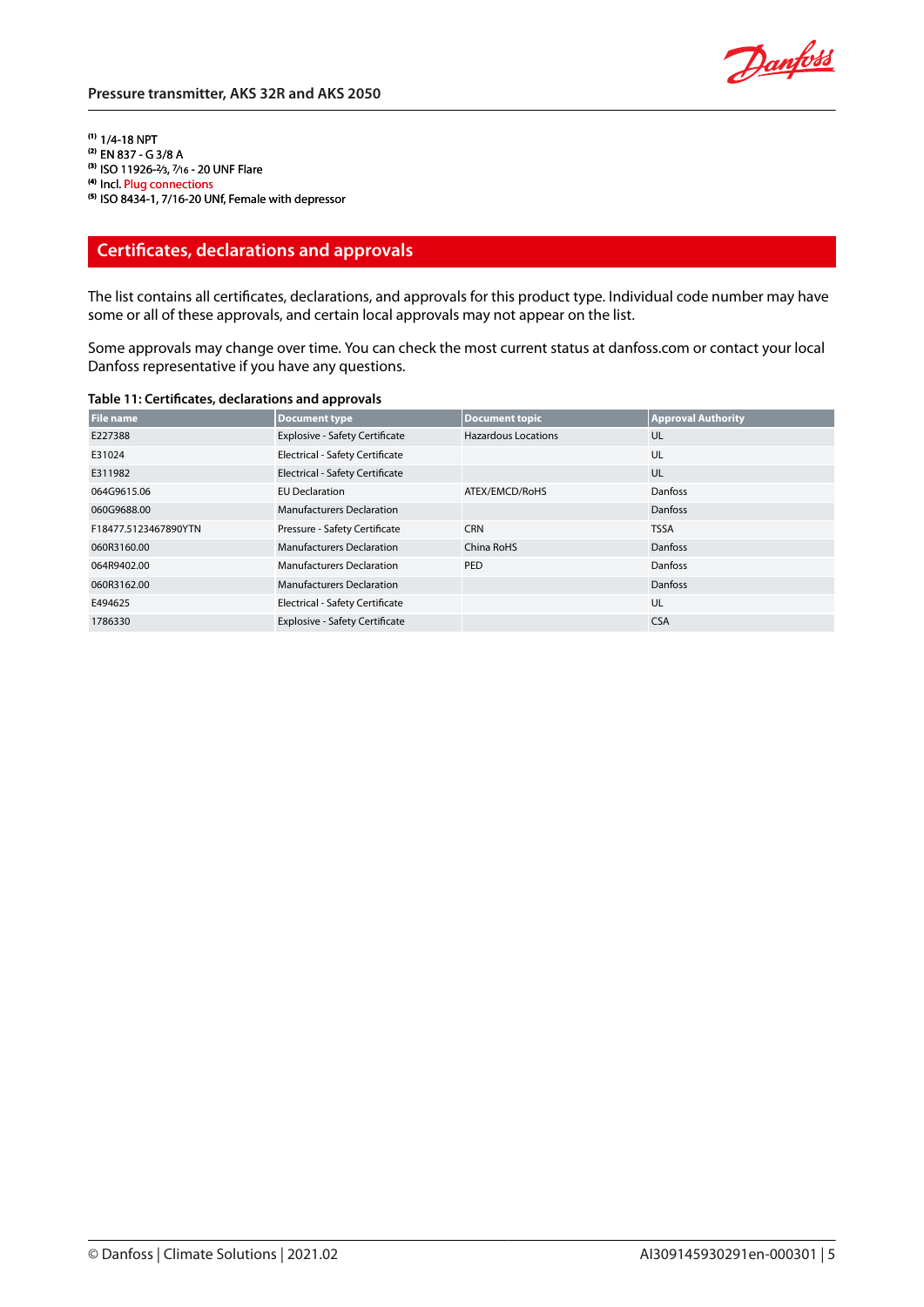**(1)** 1/4-18 NPT **(2)** EN 837 - G 3/8 A **(3)** ISO 11926-2⁄3, 7⁄16 - 20 UNF Flare **(4)** Incl. [Plug connections](#page-2-0) **(5)** ISO 8434-1, 7/16-20 UNf, Female with depressor

# **Certificates, declarations and approvals**

The list contains all certificates, declarations, and approvals for this product type. Individual code number may have some or all of these approvals, and certain local approvals may not appear on the list.

Some approvals may change over time. You can check the most current status at danfoss.com or contact your local Danfoss representative if you have any questions.

| <b>File name</b>     | <b>Document type</b>                   | <b>Document topic</b>      | <b>Approval Authority</b> |
|----------------------|----------------------------------------|----------------------------|---------------------------|
| E227388              | <b>Explosive - Safety Certificate</b>  | <b>Hazardous Locations</b> | UL                        |
| E31024               | Electrical - Safety Certificate        |                            | UL                        |
| E311982              | <b>Electrical - Safety Certificate</b> |                            | UL                        |
| 064G9615.06          | <b>EU Declaration</b>                  | ATEX/EMCD/RoHS             | Danfoss                   |
| 060G9688.00          | <b>Manufacturers Declaration</b>       |                            | <b>Danfoss</b>            |
| F18477.5123467890YTN | Pressure - Safety Certificate          | <b>CRN</b>                 | <b>TSSA</b>               |
| 060R3160.00          | <b>Manufacturers Declaration</b>       | China RoHS                 | Danfoss                   |
| 064R9402.00          | <b>Manufacturers Declaration</b>       | PED                        | Danfoss                   |
| 060R3162.00          | <b>Manufacturers Declaration</b>       |                            | <b>Danfoss</b>            |
| E494625              | Electrical - Safety Certificate        |                            | UL                        |
| 1786330              | <b>Explosive - Safety Certificate</b>  |                            | <b>CSA</b>                |